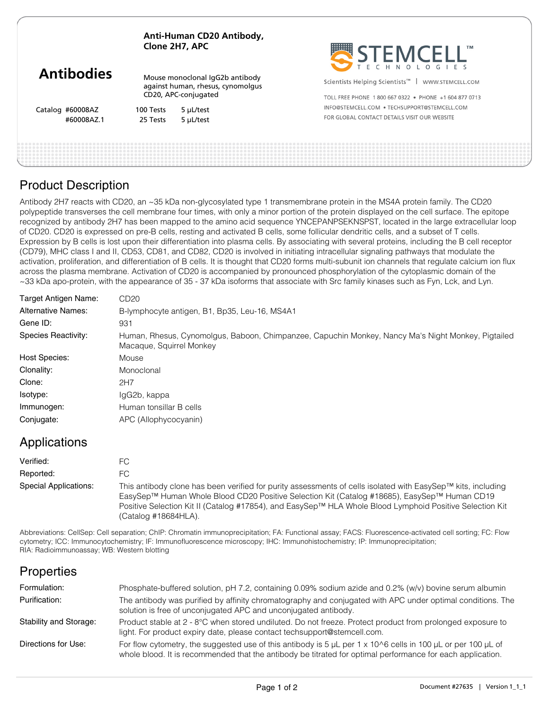|                   | Anti-Human CD20 Antibody,<br>Clone 2H7, APC                          |           | STEMCELL'                                                      |
|-------------------|----------------------------------------------------------------------|-----------|----------------------------------------------------------------|
| <b>Antibodies</b> | Mouse monoclonal IgG2b antibody<br>against human, rhesus, cynomolgus |           | Scientists Helping Scientists <sup>™</sup><br>WWW.STEMCELL.COM |
|                   | CD20, APC-conjugated                                                 |           | TOLL FREE PHONE 1800 667 0322 · PHONE +1 604 877 0713          |
| Catalog #60008AZ  | 100 Tests                                                            | 5 µL/test | INFO@STEMCELL.COM . TECHSUPPORT@STEMCELL.COM                   |
| #60008AZ.1        | 25 Tests                                                             | 5 µL/test | FOR GLOBAL CONTACT DETAILS VISIT OUR WEBSITE                   |
|                   |                                                                      |           |                                                                |
|                   |                                                                      |           |                                                                |

## Product Description

Antibody 2H7 reacts with CD20, an ~35 kDa non-glycosylated type 1 transmembrane protein in the MS4A protein family. The CD20 polypeptide transverses the cell membrane four times, with only a minor portion of the protein displayed on the cell surface. The epitope recognized by antibody 2H7 has been mapped to the amino acid sequence YNCEPANPSEKNSPST, located in the large extracellular loop of CD20. CD20 is expressed on pre-B cells, resting and activated B cells, some follicular dendritic cells, and a subset of T cells. Expression by B cells is lost upon their differentiation into plasma cells. By associating with several proteins, including the B cell receptor (CD79), MHC class I and II, CD53, CD81, and CD82, CD20 is involved in initiating intracellular signaling pathways that modulate the activation, proliferation, and differentiation of B cells. It is thought that CD20 forms multi-subunit ion channels that regulate calcium ion flux across the plasma membrane. Activation of CD20 is accompanied by pronounced phosphorylation of the cytoplasmic domain of the ~33 kDa apo-protein, with the appearance of 35 - 37 kDa isoforms that associate with Src family kinases such as Fyn, Lck, and Lyn.

| Target Antigen Name:      | CD <sub>20</sub>                                                                                                               |  |  |  |
|---------------------------|--------------------------------------------------------------------------------------------------------------------------------|--|--|--|
| <b>Alternative Names:</b> | B-lymphocyte antigen, B1, Bp35, Leu-16, MS4A1                                                                                  |  |  |  |
| Gene ID:                  | 931                                                                                                                            |  |  |  |
| Species Reactivity:       | Human, Rhesus, Cynomolgus, Baboon, Chimpanzee, Capuchin Monkey, Nancy Ma's Night Monkey, Pigtailed<br>Macaque, Squirrel Monkey |  |  |  |
| Host Species:             | Mouse                                                                                                                          |  |  |  |
| Clonality:                | Monoclonal                                                                                                                     |  |  |  |
| Clone:                    | 2H7                                                                                                                            |  |  |  |
| Isotype:                  | IgG2b, kappa                                                                                                                   |  |  |  |
| Immunogen:                | Human tonsillar B cells                                                                                                        |  |  |  |
| Conjugate:                | APC (Allophycocyanin)                                                                                                          |  |  |  |

## Applications

| Verified:             | FC.                                                                                                                                                                                                                                                                                                                                              |
|-----------------------|--------------------------------------------------------------------------------------------------------------------------------------------------------------------------------------------------------------------------------------------------------------------------------------------------------------------------------------------------|
| Reported:             | FC.                                                                                                                                                                                                                                                                                                                                              |
| Special Applications: | This antibody clone has been verified for purity assessments of cells isolated with EasySep™ kits, including<br>EasySep™ Human Whole Blood CD20 Positive Selection Kit (Catalog #18685), EasySep™ Human CD19<br>Positive Selection Kit II (Catalog #17854), and EasySep™ HLA Whole Blood Lymphoid Positive Selection Kit<br>(Catalog #18684HLA). |

Abbreviations: CellSep: Cell separation; ChIP: Chromatin immunoprecipitation; FA: Functional assay; FACS: Fluorescence-activated cell sorting; FC: Flow cytometry; ICC: Immunocytochemistry; IF: Immunofluorescence microscopy; IHC: Immunohistochemistry; IP: Immunoprecipitation; RIA: Radioimmunoassay; WB: Western blotting

## **Properties**

| Formulation:           | Phosphate-buffered solution, pH 7.2, containing 0.09% sodium azide and 0.2% (w/v) bovine serum albumin                                                                                                                                            |
|------------------------|---------------------------------------------------------------------------------------------------------------------------------------------------------------------------------------------------------------------------------------------------|
| Purification:          | The antibody was purified by affinity chromatography and conjugated with APC under optimal conditions. The<br>solution is free of unconjugated APC and unconjugated antibody.                                                                     |
| Stability and Storage: | Product stable at 2 - 8°C when stored undiluted. Do not freeze. Protect product from prolonged exposure to<br>light. For product expiry date, please contact techsupport@stemcell.com.                                                            |
| Directions for Use:    | For flow cytometry, the suggested use of this antibody is 5 $\mu$ L per 1 x 10 $\circ$ 6 cells in 100 $\mu$ L or per 100 $\mu$ L of<br>whole blood. It is recommended that the antibody be titrated for optimal performance for each application. |